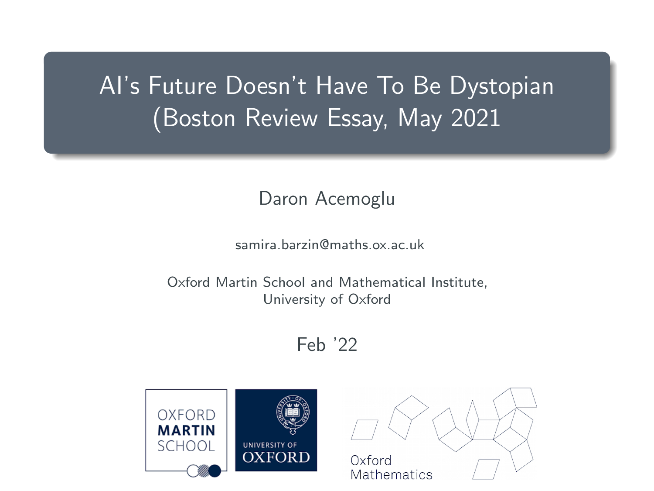# AI's Future Doesn't Have To Be Dystopian (Boston Review Essay, May 2021

#### Daron Acemoglu

samira.barzin@maths.ox.ac.uk

Oxford Martin School and Mathematical Institute, University of Oxford

#### Feb '22

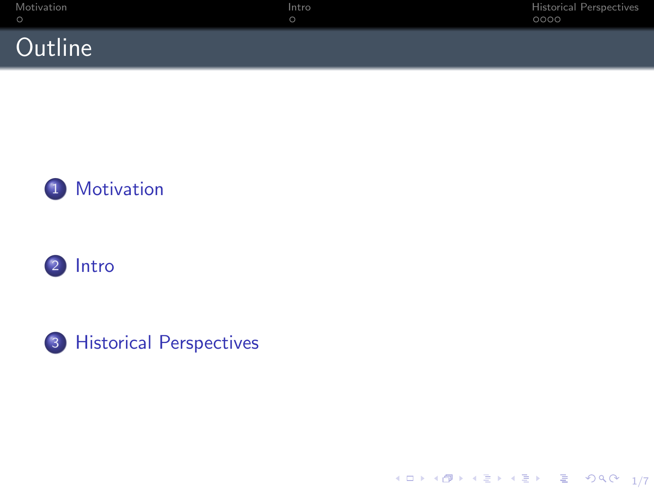





 $\begin{picture}(150,10) \put(0,0){\line(1,0){10}} \put(0,0){\line(1,0){10}} \put(0,0){\line(1,0){10}} \put(0,0){\line(1,0){10}} \put(0,0){\line(1,0){10}} \put(0,0){\line(1,0){10}} \put(0,0){\line(1,0){10}} \put(0,0){\line(1,0){10}} \put(0,0){\line(1,0){10}} \put(0,0){\line(1,0){10}} \put(0,0){\line(1,0){10}} \put(0,0){\line(1,0){10}} \put(0$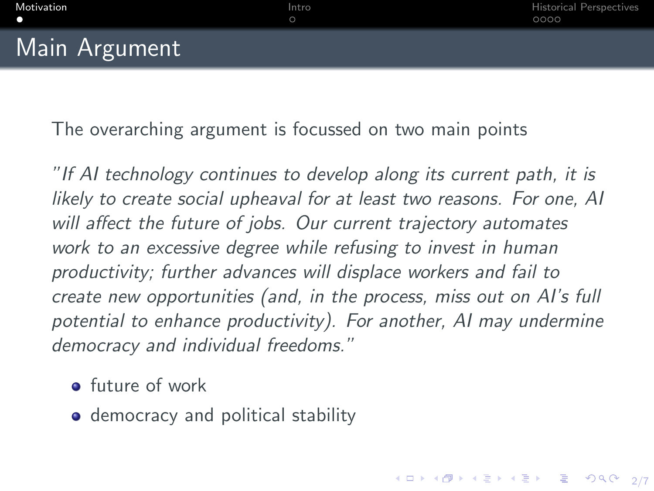4 ロ ▶ 4 @ ▶ 4 할 ▶ 4 할 ⊁ → 할 → 9 Q Q + 2/7

## <span id="page-2-0"></span>**Main Argument**

The overarching argument is focussed on two main points

"If AI technology continues to develop along its current path, it is likely to create social upheaval for at least two reasons. For one, AI will affect the future of jobs. Our current trajectory automates work to an excessive degree while refusing to invest in human productivity; further advances will displace workers and fail to create new opportunities (and, in the process, miss out on AI's full potential to enhance productivity). For another, AI may undermine democracy and individual freedoms."

- **o** future of work
- **•** democracy and political stability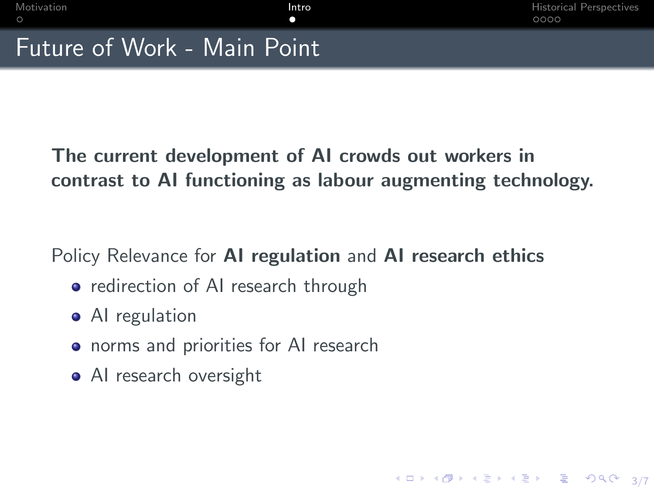3/7

# <span id="page-3-0"></span>Future of Work - Main Point

The current development of AI crowds out workers in contrast to AI functioning as labour augmenting technology.

Policy Relevance for **AI regulation** and **AI research ethics** 

- redirection of AI research through
- AI regulation
- **•** norms and priorities for AI research
- AI research oversight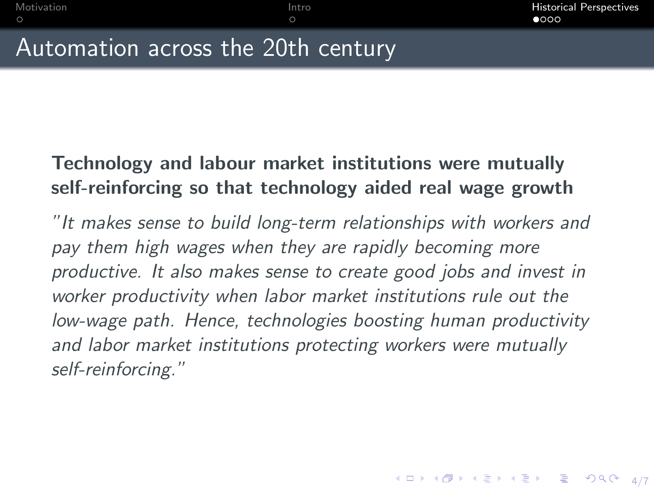4/ 미 ▶ 4/ 레 ▶ 4/ 로 ▶ 4/로 ▶ 그로 → 9/9 Q + 4/7

# <span id="page-4-0"></span>Automation across the 20th century

### Technology and labour market institutions were mutually self-reinforcing so that technology aided real wage growth

 $\circ$ 

"It makes sense to build long-term relationships with workers and pay them high wages when they are rapidly becoming more productive. It also makes sense to create good jobs and invest in worker productivity when labor market institutions rule out the low-wage path. Hence, technologies boosting human productivity and labor market institutions protecting workers were mutually self-reinforcing."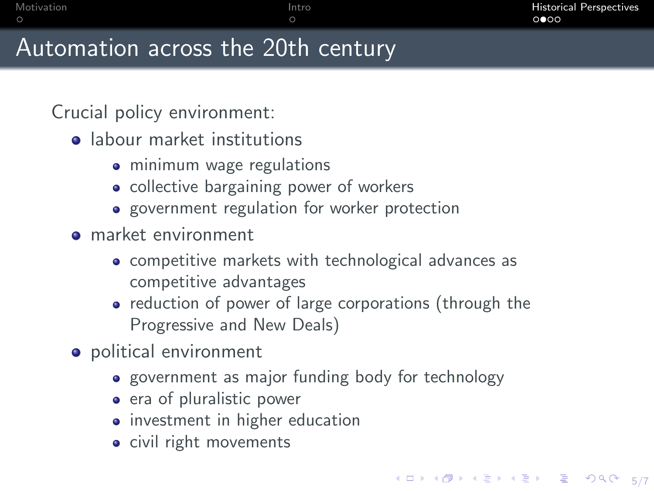## Automation across the 20th century

Crucial policy environment:

- **a** labour market institutions
	- minimum wage regulations
	- collective bargaining power of workers
	- government regulation for worker protection
- **o** market environment
	- competitive markets with technological advances as competitive advantages
	- reduction of power of large corporations (through the Progressive and New Deals)
- political environment
	- government as major funding body for technology
	- era of pluralistic power
	- investment in higher education
	- civil right movements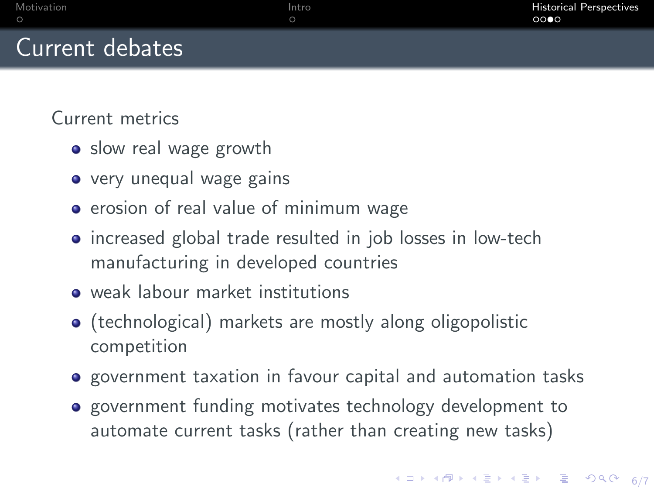## Current debates

Current metrics

- slow real wage growth
- very unequal wage gains
- **•** erosion of real value of minimum wage
- increased global trade resulted in job losses in low-tech manufacturing in developed countries
- weak labour market institutions
- (technological) markets are mostly along oligopolistic competition
- **•** government taxation in favour capital and automation tasks
- **•** government funding motivates technology development to automate current tasks (rather than creating new tasks)